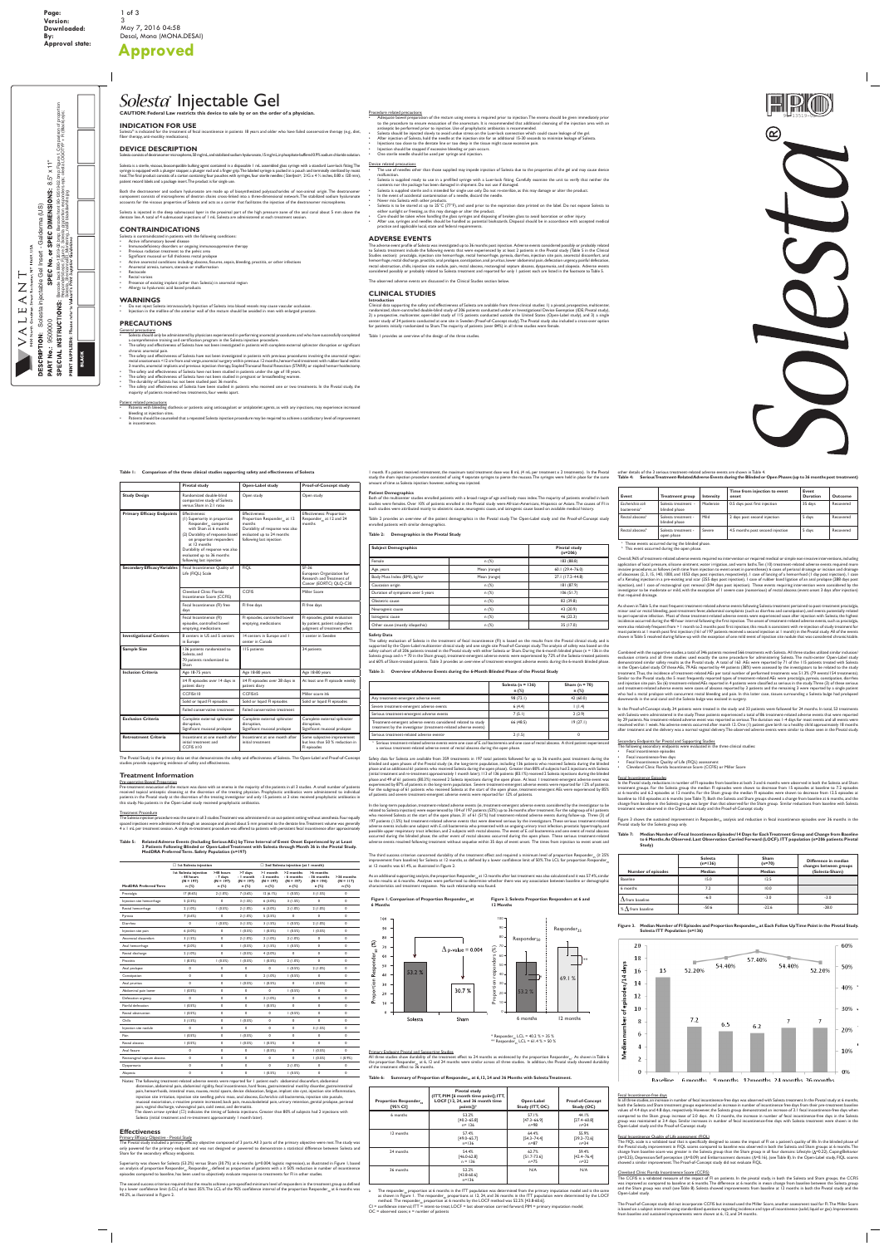# Solesta<sup>®</sup> Injectable Gel

**CAUTION: Federal Law restricts this device to sale by or on the order of a physician.**

# **Indication for Use**

Solesta® is indicated for the treatment of fecal incontinence in patients 18 years and older who have failed conservative therapy (e.g., diet, fiber therapy, anti-motility medications).

# **Device Description**

Solesta consists of dextranomer microspheres, 50 mg/mL, and stabilized sodium hyaluronate, 15 mg/mL, in phosphate-buffered 0.9% sodium chloride solution.

Solesta is a sterile, viscous, biocompatible bulking agent contained in a disposable 1 mL assembled glass syringe with a standard Luer-lock fitting. The syringe is equipped with a plunger stopper, a plunger rod and a finger grip. The labeled syringe is packed in a pouch and terminally sterilized by moist heat. The final product consists of a carton containing four pouches with syringes, four sterile needles (SteriJect®, 21G x 4 3/4 inches, 0.80 x 120 mm), patient record labels and a package insert. The product is for single use.

- Do not inject Solesta intravascularly. Injection of Solesta into blood vessels may cause vascular occlusion.
- Injection in the midline of the anterior wall of the rectum should be avoided in men with enlarged prostate

#### **Precautions General precaution**

Both the dextranomer and sodium hyaluronate are made up of biosynthesized polysaccharides of non-animal origin. The dextranomer component consists of microspheres of dextran chains cross-linked into a three-dimensional network. The stabilized sodium hyaluronate accounts for the viscous properties of Solesta and acts as a carrier that facilitates the injection of the dextranomer microspheres.

Solesta is injected in the deep submucosal layer in the proximal part of the high pressure zone of the anal canal about 5 mm above the dentate line. A total of 4 submucosal injections of 1 mL Solesta are administered at each treatment session.

# **Contraindications**

- Solesta is contraindicated in patients with the following conditions:
- Active inflammatory bowel disease Immunodeficiency disorders or ongoing immunosuppressive therapy
- Previous radiation treatment to the pelvic area
- Significant mucosal or full thickness rectal prolapse
- Active anorectal conditions including: abscess, fissures, sepsis, bleeding, proctitis, or other infections • Anorectal atresia, tumors, stenosis or malformation
- Rectocele
- Rectal varices
- Presence of existing implant (other than Solesta) in anorectal region
- Allergy to hyaluronic acid based products

# **Warnings**

- The use of needles other than those supplied may impede injection of Solesta due to the properties of the gel and may cause device<br>The use of needles other than those supplied may impede injection of Solesta due to the p malfunction.
- Solesta is supplied ready to use in a prefilled syringe with a Luer-lock fitting. Carefully examine the unit to verify that neither the contents nor the package has been damaged in shipment. Do not use if damaged.
- Solesta is supplied sterile and is intended for single use only. Do not re-sterilize, as this may damage or alter the product.
- In the event of accidental contamination of a needle, discard the needle
- Never mix Solesta with other products.
- Solesta is to be stored at up to 25°C (77°F), and used prior to the expiration date printed on the label. Do not expose Solesta to either sunlight or freezing, as this may damage or alter the product. • Care should be taken when handling the glass syringes and disposing of broken glass to avoid laceration or other injury.
- After use, syringes and needles should be handled as potential biohazards. Disposal should be in accordance with accepted medical practice and applicable local, state and federal requirements.

- Solesta should only be administered by physicians experienced in performing anorectal procedures and who have successfully completed a comprehensive training and certification program in the Solesta injection procedure.
- The safety and effectiveness of Solesta have not been investigated in patients with complete external sphincter disruption or significant chronic anorectal pain.
- The safety and effectiveness of Solesta have not been investigated in patients with previous procedures involving the anorectal region: rectal anastomosis <12 cm from anal verge, anorectal surgery within previous 12 months, hemorrhoid treatment with rubber band within 3 months, anorectal implants and previous injection therapy, Stapled Transanal Rectal Resection (STARR) or stapled hemorrhoidectomy.
- The safety and effectiveness of Solesta have not been studied in patients under the age of 18 years.

Clinical data supporting the safety and effectiveness of Solesta are available from three clinical studies: 1) a pivotal, prospective, multicenter, randomized, sham-controlled double-blind study of 206 patients conducted under an Investigational Device Exemption (IDE; Pivotal study), 2) a prospective, multicenter, open-label study of 115 patients conducted outside the United States (Open-Label study), and 3) a single center study of 34 patients conducted at one site in Sweden (Proof-of-Concept study). The Pivotal study also included a cross-over option for patients initially randomized to Sham. The majority of patients (over 84%) in all three studies were female

- The safety and effectiveness of Solesta have been studied in patients who received one or two treatments. In the Pivotal study, the majority of patients received two treatments, four weeks apart.
- Patient related precautions
- Patients with bleeding diathesis or patients using anticoagulant or antiplatelet agents, as with any injections, may experience increased bleeding at injection sites.
- Patients should be counseled that a repeated Solesta injection procedure may be required to achieve a satisfactory level of improvement in incontinence.

#### versus Sham in 2:1 ratio **Primary Efficacy Endpoints** | Effectiveness: (1) Superiority in proportion Responder<sub>so</sub> compared with Sham at 6 months (2) Durability of response based **Effectiveness** Proportion Responder<sub>so</sub> at 12 months Durability of response was also evaluated up to 24 months Effectiveness: Proportion Responder $_{50}$  at 12 and 24 onths

**Pivotal study Open-Label study Proof-of-Concept study** 

#### Procedure related precautions

- Adequate bowel preparation of the rectum using enema is required prior to injection. The enema should be given immediately prior to the procedure to ensure evacuation of the anorectum. It is recommended that additional cleansing of the injection area with an antiseptic be performed prior to injection. Use of prophylactic antibiotics is recommended.
- Solesta should be injected slowly to avoid undue stress on the Luer-lock connection which could cause leakage of the gel.
- After injection of Solesta, hold the needle at the injection site for an additional 15-30 seconds to minimize leakage of Solesta.
- Injections too close to the dentate line or too deep in the tissue might cause excessive pain.
- Injection should be stopped if excessive bleeding or pain occurs.
- One sterile needle should be used per syringe and injection.

#### Device related precautions

# **Adverse Events**

The adverse event profile of Solesta was investigated up to 36 months post injection. Adverse events considered possibly or probably related to Solesta treatment include the following events that were experienced by at least 2 patients in the Pivotal study (Table 5 in the Clinical Studies section): proctalgia, injection site hemorrhage, rectal hemorrhage, pyrexia, diarrhea, injection site pain, anorectal discomfort, anal hemorrhage, rectal discharge, proctitis, anal prolapse, constipation, anal pruritus, lower abdominal pain, defecation urgency, painful defecation, rectal obstruction, chills, injection site nodule, pain, rectal abscess, rectovaginal septum abscess, dyspareunia, and alopecia. Adverse events considered possibly or probably related to Solesta treatment and reported for only 1 patient each are listed in the footnote to Table 5.

The observed adverse events are discussed in the Clinical Studies section below.

#### **Clinical Studies Introduction**

Table 1 provides an overview of the design of the three studies.

comparative study of Solesta

The safety and effectiveness of Solesta have not been studied in pregnant or breastfeeding women. The durability of Solesta has not been studied past 36 months.

**Study Design Randomized double-blind** 

Open study Open study

I center in Sweden

#### Table 5: Related Adverse Events (Including Serious AEs) by Time Interval of Event Onset Experienced by at Least **2 Patients Following Blinded or Open-Label Treatment with Solesta through Month 36 in the Pivotal Study. MedDRA Preferred Term. Safety Population (n=197)**

|                                     | (2) Durability of response based<br>on proportion responders<br>at 12 months<br>Durability of response was also<br>evaluated up to 36 months<br>following last injection | evaluated up to 24 months<br>following last injection  |                                                                                                  |
|-------------------------------------|--------------------------------------------------------------------------------------------------------------------------------------------------------------------------|--------------------------------------------------------|--------------------------------------------------------------------------------------------------|
| <b>Secondary Efficacy Variables</b> | Fecal Incontinence Quality of<br>Life (FIQL) Scale                                                                                                                       | <b>FIQL</b>                                            | SF-36<br>European Organization for<br>Research and Treatment of<br>Cancer (EORTC) QLQ-C30        |
|                                     | Cleveland Clinic Florida<br>Incontinence Score (CCFIS)                                                                                                                   | <b>CCFIS</b>                                           | Miller Score                                                                                     |
|                                     | Fecal Incontinence (FI) free<br>days                                                                                                                                     | FI free days                                           | FI free days                                                                                     |
|                                     | Fecal Incontinence (FI)<br>episodes, controlled bowel<br>emptying, medications                                                                                           | FI episodes, controlled bowel<br>emptying, medications | FI episodes, global evaluation<br>by patient, patient subjective<br>judgment of treatment effect |

| <b>Investigational Centers</b> | 8 centers in US and 5 centers<br>in Europe                                      | 14 centers in Europe and 1<br>center in Canada                             | 1 center in Sweden                                                            |
|--------------------------------|---------------------------------------------------------------------------------|----------------------------------------------------------------------------|-------------------------------------------------------------------------------|
| <b>Sample Size</b>             | 136 patients randomized to<br>Solesta, and<br>70 patients randomized to<br>Sham | 115 patients                                                               | 34 patients                                                                   |
| <b>Inclusion Criteria</b>      | Age 18-75 years                                                                 | Age 18-80 years                                                            | Age 18-80 years                                                               |
|                                | $\geq$ 4 FI episodes over 14 days in<br>patient diary                           | ≥4 FI episodes over 28 days in<br>patient diary                            | At least one FI episode weekly                                                |
|                                | CCFIS <sup>2</sup> 10                                                           | CCFIS≥5                                                                    | Miller score ≥6                                                               |
|                                | Solid or liquid FI episodes                                                     | Solid or liquid FI episodes                                                | Solid or liquid FI episodes                                                   |
|                                | Failed conservative treatment                                                   | Failed conservative treatment                                              |                                                                               |
| <b>Exclusion Criteria</b>      | Complete external sphincter<br>disruption,<br>Significant mucosal prolapse      | Complete external sphincter<br>disruption,<br>Significant mucosal prolapse | Complete external sphincter<br>disruption,<br>Significant mucosal prolapse    |
| <b>Retreatment Criteria</b>    | Incontinent at one month after<br>initial treatment and<br>$CCFIS \geq 10$      | Incontinent at one month after<br>initial treatment                        | Some subjective improvement<br>but less than 50 % reduction in<br>FI episodes |

**Table 1: Comparison of the three clinical studies supporting safety and effectiveness of Solesta** study, the sham injection procedure consisted of using 4 separate syringes to pierce the mucosa. The syringes were held in place for the same amount of time as Solesta injection: however, nothing was injected.

> The third success criterion concerned durability of the treatment effect and required a minimum level of proportion Responder. ( $\geq 25\%$ improvement from baseline) for Solesta at 12 months, as defined by a lower confidence limit of 50%. The LCL for proportion Responder, at 12 months was 61.4%, as illustrated in Figure 2.

> As an additional supporting analysis, the proportion Responder<sub>so</sub> at 12 months after last treatment was also calculated and it was 57.4%, similar to the results at 6 months. Analyses were performed to determine whether there was any association between baseline or demographic characteristics and treatment response. No such relationship was found.



 $*$  Responder<sub>so</sub> LCL = 40.2 % > 35 % \*\* Responder<sub>25</sub> LCL = 61.4 % > 50 %

The Pivotal Study is the primary data set that demonstrates the safety and effectiveness of Solesta. The Open-Label and Proof-of-Concept studies provide supporting evidence of safety and effectiveness.

#### **Treatment Information**

#### Pre-operative Bowel Preparation

All three studies show durability of the treatment effect to 24 months as evidenced by the proportion Responder<sub>so</sub>. As shown in Table 6 the proportion Responder<sub>ce</sub> at 6, 12 and 24 months were similar across all three studies. In addition, the Pivotal study showed durability of the treatment effect to 36 months.

#### Table 6: Summary of Proportion of Responder<sub>so</sub> at 6,12, 24 and 36 Months with Solesta Treatment.

Pre-treatment evacuation of the rectum was done with an enema in the majority of the patients in all 3 studies. A small number of patients received topical antiseptic cleansing at the discretion of the treating physician. Prophylactic antibiotics were administered to individual patients in the Pivotal study at the discretion of the treating investigator and only 15 patients at 3 sites received prophylactic antibiotics in this study. No patients in the Open-Label study received prophylactic antibiotics.

#### Treatment Procedure

The Solesta injection procedure was the same in all 3 studies. Treatment was administered in an out-patient setting without anesthesia. Four equally spaced injections were administered through an anoscope and placed about 5 mm proximal to the dentate line. Treatment volume was generally 4 x 1 mL per treatment session. A single re-treatment procedure was offered to patients with persistent fecal incontinence after approximately

1 month. If a patient received retreatment, the maximum total treatment dose was 8 mL (4 mL per treatment x 2 treatments). In the Pivotal

# **Patient Demographics**

Both of the multicenter studies enrolled patients with a broad range of age and body mass index. The majority of patients enrolled in both studies were females. Over 10% of patients enrolled in the Pivotal study were African-Americans, Hispanics or Asians. The causes of FI in both studies were attributed mainly to obstetric cause, neurogenic cause, and iatrogenic cause based on available medical history.

Table 2 provides an overview of the patient demographics in the Pivotal study. The Open-Label study and the Proof-of-Concept study enrolled patients with similar demographics.

**Table 2: Demographics in the Pivotal Study**

| <b>Subject Demographics</b>              |              | <b>Pivotal study</b><br>$(n=206)$ |
|------------------------------------------|--------------|-----------------------------------|
| Female                                   | $n$ (%)      | 183 (88.8)                        |
| Age, years                               | Mean (range) | $60.1(29.4 - 76.0)$               |
| Body Mass Index (BMI), kg/m <sup>2</sup> | Mean (range) | 27.1 (17.2-44.8)                  |
| Caucasian origin                         | $n$ (%)      | 181 (87.9)                        |
| Duration of symptoms over 5 years        | n(%)         | 106(51.7)                         |
| Obstetric cause                          | $n$ (%)      | 82 (39.8)                         |
| Neurogenic cause                         | $n$ (%)      | 43 (20.9)                         |
| latrogenic cause                         | $n$ (%)      | 46 (22.3)                         |
| Other cause (mostly idiopathic)          | n (%)        | 35 (17.0)                         |



| <b>Subject Demographics</b>              | <b>Pivotal study</b><br>$(n=206)$ |                     |
|------------------------------------------|-----------------------------------|---------------------|
| Female                                   | $n$ (%)                           | 183 (88.8)          |
| Age, years                               | Mean (range)                      | $60.1(29.4 - 76.0)$ |
| Body Mass Index (BMI), kg/m <sup>2</sup> | Mean (range)                      | 27.1 (17.2-44.8)    |
| Caucasian origin                         | n(%)                              | 181 (87.9)          |
| Duration of symptoms over 5 years        | $n$ (%)                           | 106(51.7)           |
| Obstetric cause                          | $n$ (%)                           | 82 (39.8)           |
| Neurogenic cause                         | $n$ (%)                           | 43 (20.9)           |
| latrogenic cause                         | $n$ (%)                           | 46 (22.3)           |
| Other cause (mostly idiopathic)          | $n$ (%)                           | 35 (17.0)           |

**Safety Data**

The safety evaluation of Solesta in the treatment of fecal incontinence (FI) is based on the results from the Pivotal clinical study, and is supported by the Open-Label multicenter clinical study and one single site Proof-of-Concept study. The analysis of safety was based on the safety cohort of all 206 patients treated in the Pivotal study with either Solesta or Sham. During the 6-month blinded phase (n = 136 in the Solesta group and n = 70 in the Sham group), treatment-emergent adverse events were experienced by 72% of the Solesta-treated patients and 60% of Sham-treated patients. Table 3 provides an overview of treatment-emergent adverse events during the 6-month blinded phase.

#### **Table 3: Overview of Adverse Events during the 6-Month Blinded Phase of the Pivotal Study**

|                                                                                                                                   | Solesta ( $n = 136$ )<br>$n$ (%) | Sham ( $n = 70$ )<br>$n$ (%) |
|-----------------------------------------------------------------------------------------------------------------------------------|----------------------------------|------------------------------|
| Any treatment-emergent adverse event                                                                                              | 98 (72.1)                        | 42 (60.0)                    |
| Severe treatment-emergent adverse events                                                                                          | 6(4.4)                           | (1.4)                        |
| Serious treatment-emergent adverse events                                                                                         | 7(5.1)                           | 2(2.9)                       |
| Treatment-emergent adverse events considered related to study<br>treatment by the investigator (treatment-related adverse events) | 66 (48.5)                        | 19(27.1)                     |
| Serious treatment-related adverse events <sup>a</sup>                                                                             | 2(1.5)                           | 0                            |

<sup>a</sup> Serious treatment-related adverse events were one case of *E. coli* bacteremia and one case of rectal abscess. A third patient experienced a serious treatment-related adverse event of rectal abscess during the open phase.

Safety data for Solesta are available from 359 treatments in 197 total patients followed for up to 36 months post treatment during the blinded and open phases of the Pivotal study (ie, the long-term population, including 136 patients who received Solesta during the blinded phase and an additional 61 patients who received Solesta during the open phase). Greater than 80% of subjects had 2 injections with Solesta (initial treatment and re-treatment approximately 1 month later); 113 of 136 patients (83.1%) received 2 Solesta injections during the blinded phase and 49 of 61 patients (80.3%) received 2 Solesta injections during the open phase. At least 1 treatment-emergent adverse event was experienced by 87% of patients in the long-term population. Severe treatment-emergent adverse events were reported for 12% of patients. For the subgroup of 61 patients who received Solesta at the start of the open phase, treatment-emergent AEs were experienced by 85% of patients and severe treatment-emergent adverse events were reported for 12% of patients.

In the long-term population, treatment-related adverse events (ie, treatment-emergent adverse events considered by the investigator to be related to Solesta injection) were experienced by 104 of 197 patients (53%) up to 36 months after treatment. For the subgroup of 61 patients who received Solesta at the start of the open phase, 31 of 61 (51%) had treatment-related adverse events during follow-up. Three (3) of 197 patients (1.5%) had treatment-related adverse events that were deemed serious by the investigators. These serious treatment-related adverse events include: one subject with *E. coli* bacteremia who presented with an ongoing urinary tract infection, prostatic hypertrophy, and possible upper respiratory tract infection, and 2 subjects with rectal abscess. The event of *E. coli* bacteremia and one event of rectal abscess occurred during the blinded phase; the other event of rectal abscess occurred during the open phase. These serious treatment-related

|                              | $\Box$ 1st Solesta injection                                     |                                                 |                                              | $\Box$ 2nd Solesta injection (at I month)        |                                                   |                                                  |                                   |
|------------------------------|------------------------------------------------------------------|-------------------------------------------------|----------------------------------------------|--------------------------------------------------|---------------------------------------------------|--------------------------------------------------|-----------------------------------|
| <b>MedDRA Preferred Term</b> | <b>Ist Solesta injection</b><br>-48 hours<br>$(N = 197)$<br>n(%) | >48 hours<br>- 7 days<br>$(N = 197)$<br>$n$ (%) | >7 days<br>- I month<br>$(N = 197)$<br>n (%) | >1 month<br>- 2 months<br>$(N = 197)$<br>$n$ (%) | >2 months<br>- 6 months<br>$(N = 197)$<br>$n$ (%) | >6 months<br>- 36 months<br>$(N = 194)$<br>n (%) | >36 months<br>$(N = 117)$<br>n(%) |
| Proctalgia                   | 17(8.6%)                                                         | 2(1.0%)                                         | 7(3.6%)                                      | 12(6.1%)                                         | 1(0.5%)                                           | 3(1.5%)                                          | $\mathbf 0$                       |
| Injection site hemorrhage    | 5(2.5%)                                                          | 0                                               | 3(1.5%)                                      | $6(3.0\%)$                                       | 3(1.5%)                                           | 0                                                | 0                                 |
| Rectal hemorrhage            | 2(1.0%)                                                          | 1(0.5%)                                         | 2(1.0%)                                      | $6(3.0\%)$                                       | 2(1.0%)                                           | 2(1.0%)                                          | 0                                 |
| Pyrexia                      | 7(3.6%)                                                          | 0                                               | 2(1.0%)                                      | 5(2.5%)                                          | $\mathbf 0$                                       | 0                                                | 0                                 |
| Diarrhea                     | 0                                                                | 1(0.5%)                                         | 3(1.5%)                                      | 3(1.5%)                                          | $(0.5\%)$                                         | 2(1.0%)                                          | 0                                 |
| Injection site pain          | $6(3.0\%)$                                                       | 0                                               | 1(0.5%)                                      | 1(0.5%)                                          | $(0.5\%)$                                         | $(0.5\%)$                                        | 0                                 |
| Anorectal discomfort         | 3(1.5%)                                                          | 0                                               | 2(1.0%)                                      | 2(1.0%)                                          | 2(1.0%)                                           | 0                                                | 0                                 |
| Anal hemorrhage              | 4(2.0%)                                                          | 0                                               | 1(0.5%)                                      | 3(1.5%)                                          | $(0.5\%)$                                         | 0                                                | 0                                 |
| Rectal discharge             | 2(1.0%)                                                          | 0                                               | 1(0.5%)                                      | 4(2.0%)                                          | $\mathbf 0$                                       | 0                                                | 0                                 |
| Proctitis                    | $(0.5\%)$                                                        | 1(0.5%)                                         | 1(0.5%)                                      | 1(0.5%)                                          | 2(1.0%)                                           | 0                                                | 0                                 |
| Anal prolapse                | 0                                                                | 0                                               | 0                                            | 0                                                | $(0.5\%)$                                         | 2(1.0%)                                          | 0                                 |
| Constipation                 | 0                                                                | 0                                               | 0                                            | 2(1.0%)                                          | $(0.5\%)$                                         | 0                                                | 0                                 |
| Anal pruritus                | $\mathbf 0$                                                      | 0                                               | 1(0.5%)                                      | 1(0.5%)                                          | $\mathbf 0$                                       | 1(0.5%)                                          | 0                                 |
| Abdominal pain lower         | 1(0.5%)                                                          | 0                                               | 0                                            | 0                                                | 1(0.5%)                                           | 0                                                | 0                                 |
| Defecation urgency           | 0                                                                | 0                                               | 0                                            | 2(1.0%)                                          | $\mathbf 0$                                       | 0                                                | 0                                 |
| Painful defecation           | 1(0.5%)                                                          | $\mathbf 0$                                     | 0                                            | 1(0.5%)                                          | $\mathbf{0}$                                      | 0                                                | 0                                 |
| Rectal obstruction           | 1(0.5%)                                                          | $\mathbf 0$                                     | 0                                            | $\mathbf 0$                                      | 1(0.5%)                                           | 0                                                | 0                                 |
| Chills                       | 3(1.5%)                                                          | $\mathbf{0}$                                    | 1(0.5%)                                      | $\mathbf 0$                                      | $\mathbf 0$                                       | $\mathbf 0$                                      | $\mathbf 0$                       |
| Injection site nodule        | 0                                                                | $\mathbf 0$                                     | 0                                            | $\pmb{0}$                                        | $\mathbf 0$                                       | 3(1.5%)                                          | 0                                 |
| Pain                         | 1(0.5%)                                                          | $\mathbf 0$                                     | 1(0.5%)                                      | 0                                                | $\mathbf 0$                                       | 0                                                | 0                                 |
| Rectal abscess               | 1(0.5%)                                                          | $\mathbf 0$                                     | 1(0.5%)                                      | 1(0.5%)                                          | $\mathbf{0}$                                      | $\mathbf 0$                                      | $\mathbf 0$                       |
| Anal fissure                 | 0                                                                | $\mathbf 0$                                     | 0                                            | 1(0.5%)                                          | $\mathbf 0$                                       | 1(0.5%)                                          | $\mathbf 0$                       |
| Rectovaginal septum abscess  | 0                                                                | 0                                               | 0                                            | $\mathbf 0$                                      | $\mathbf{0}$                                      | 1(0.5%)                                          | 1(0.9%)                           |
| Dyspareunia                  | 0                                                                | 0                                               | 0                                            | $\mathbf 0$                                      | 2(1.0%)                                           | 0                                                | 0                                 |
| Alopecia                     | 0                                                                | 0                                               | 0                                            | 1(0.5%)                                          | 1(0.5%)                                           | 0                                                | 0                                 |

Notes: The following treatment-related adverse events were reported for 1 patient each: abdominal discomfort, abdominal

distension, abdominal pain, abdominal rigidity, fecal incontinence, hard feces, gastrointestinal motility disorder, gastrointestinal pain, hemorrhoids, intestinal mass, nausea, rectal spasm, device dislocation, fatigue, implant site cyst, injection site inflammation, injection site irritation, injection site swelling, pelvic mass, anal abscess, *Escherichia coli* bacteremia, injection site pustule, mucosal excoriation, c-reactive protein increased, back pain, musculoskeletal pain, urinary retention, genital prolapse, perineal

pain, vaginal discharge, vulvovaginal pain, cold sweat, and dermatitis. The down arrow symbol (**↓**) indicates the timing of Solesta injections. Greater than 80% of subjects had 2 injections with

Solesta (initial treatment and re-treatment approximately 1 month later).

# **Effectiveness**

#### Primary Efficacy Objective - Pivotal Study

The Pivotal study included a primary efficacy objective composed of 3 parts. All 3 parts of the primary objective were met. The study was only powered for the primary endpoint and was not designed or powered to demonstrate a statistical difference between Solesta and Sham for the secondary efficacy endpoints.

Superiority was shown for Solesta (53.2%) versus Sham (30.7%) at 6 months (p=0.004; logistic regression), as illustrated in Figure 1, based on analysis of proportion Responder<sub>50</sub>. Responder<sub>50</sub>, defined as proportion of patients with a  $\geq$  50% reduction in number of incontinence episodes compared to baseline, has been used to objectively evaluate response to treatments for FI in other studies.

The second success criterion required that the results achieve a pre-specified minimum level of responders in the treatment group as defined by a lower confidence limit (LCL) of at least 35%. The LCL of the 95% confidence interval of the proportion Responder<sub>so</sub> at 6 months was 40.2%, as illustrated in Figure 2.

## Primary Endpoint Pivotal and Supporting Studies

| <b>Proportion Responder</b><br>[95% CI] | <b>Pivotal study</b><br>(ITT, PIM [6 month time point]; ITT,<br>LOCF [12, 24, and 36 month time<br>points]) <sup>a</sup> | Open-Label<br>Study (ITT, OC) | <b>Proof-of-Concept</b><br>Study (OC) |
|-----------------------------------------|--------------------------------------------------------------------------------------------------------------------------|-------------------------------|---------------------------------------|
| 6 months                                | 53.2%                                                                                                                    | 57.1%                         | 44.1%                                 |
|                                         | $[40.2 - 65.8]$                                                                                                          | $[47.3 - 66.9]$               | $[27.4 - 60.8]$                       |
|                                         | $n = 136$                                                                                                                | $n = 98$                      | $n = 34$                              |
| 12 months                               | 57.4%                                                                                                                    | 64.4%                         | 55.9%                                 |
|                                         | $[49.0 - 65.7]$                                                                                                          | $[54.3 - 74.4]$               | $[39.2 - 72.6]$                       |
|                                         | $n = 136$                                                                                                                | $n = 87$                      | $n = 34$                              |
| 24 months                               | 54.4%                                                                                                                    | 62.7%                         | 59.4%                                 |
|                                         | $[46.0 - 62.8]$                                                                                                          | $[51.7 - 73.6]$               | $[42.4 - 76.4]$                       |
|                                         | $n = 136$                                                                                                                | $n = 75$                      | $n = 32$                              |
| 36 months                               | 52.2%<br>$[43.8 - 60.6]$<br>$n = 136$                                                                                    | N/A                           | N/A                                   |

The responder<sub>50</sub> proportion at 6 months in the ITT population was determined from the primary imputation model and is the same





other details of the 3 serious treatment-related adverse events are shown in Table 4. **Table 4: Serious Treatment-Related Adverse Events during the Blinded or Open Phases (up to 36 months post treatment)**

| Event                                       | <b>Treatment group</b>               | <b>Intensity</b> | Time from injection to event<br>onset | Event<br><b>Duration</b> | <b>Outcome</b> |
|---------------------------------------------|--------------------------------------|------------------|---------------------------------------|--------------------------|----------------|
| Escherichia coli<br>bacteremia <sup>a</sup> | Solesta treatment -<br>blinded phase | Moderate         | 0.5 days post first injection         | 35 days                  | Recovered      |
| Rectal abscess <sup>a</sup>                 | Solesta treatment -<br>blinded phase | Mild             | 2 days post second injection          | 5 days                   | Recovered      |
| Rectal abscess <sup>b</sup>                 | Solesta treatment -<br>open phase    | Severe           | 4.5 months post second injection      | 5 days                   | Recovered      |

<sup>a</sup> These events occurred during the blinded phase.

<sup>b</sup> This event occurred during the open phase

Overall, 96% of treatment-related adverse events required no intervention or required medical or simple non-invasive interventions, including application of local pressure, silicone ointment, water irrigation, and warm baths. Ten (10) treatment-related adverse events required more invasive procedures, as follows (with time from injection to event onset in parentheses): 6 cases of perianal drainage or incision and drainage of abscesses (2, 3, 15, 140, 1000, and 1053 days post injection, respectively), 1 case of lancing of a hemorrhoid (1 day post injection), 1 case of a Kenalog injection in a pre-existing anal scar (255 days post injection), 1 case of rubber band ligation of an anal prolapse (288 days post injection), and 1 case of rectovaginal cyst removal (594 days post injection). These events requiring intervention were considered by the investigator to be moderate or mild, with the exception of 1 severe case (nonserious) of rectal abscess (event onset 3 days after injection) that required drainage.

As shown in Table 5, the most frequent treatment-related adverse events following Solesta treatment pertained to post-treatment proctalgia, minor anal or rectal bleeding, post-treatment fever, abdominal complaints (such as diarrhea and constipation), and events potentially related to peri-operative infection. Most of these treatment-related adverse events were experienced soon after injection with Solesta; the highest incidence occurred during the 48-hour interval following the first injection. The onset of treatment-related adverse events, such as proctalgia, were also relatively frequent from > 1 month to 2 months post first injection; this result is consistent with re-injection of study treatment for most patients at 1 month post first injection (161 of 197 patients received a second injection at 1 month) in the Pivotal study. All of the events shown in Table 5 resolved during follow-up with the exception of one mild event of injection site nodule that was considered chronic/stable.

Combined with the supportive studies, a total of 346 patients received 566 treatments with Solesta. All three studies utilized similar inclusion/ exclusion criteria and all three studies used exactly the same procedure for administering Solesta. The multi-center Open-Label study demonstrated similar safety results as the Pivotal study. A total of 163 AEs were reported by 71 of the 115 patients treated with Solesta in the Open-Label study. Of these AEs, 79 AEs reported by 44 patients (38%) were assessed by the investigators to be related to the study treatment. Thus, the incidence of treatment-related AEs per total number of performed treatments was 51.3% (79 events/154 treatments). Similar to the Pivotal study, the 5 most frequently reported types of treatment-related AEs were proctalgia, pyrexia, constipation, diarrhea and injection site pain. Six (6) treatment-related AEs reported in 4 patients were classified as serious in the study. Three (3) of these serious and treatment-related adverse events were cases of abscess reported by 3 patients and the remaining 3 were reported by a single patient who had a rectal prolapse with concurrent rectal bleeding and pain. In this latter case, tissues surrounding a Solesta bulge had prolapsed downwards in the anal canal and the Solesta bulge was excised in surgery.

In the Proof-of-Concept study, 34 patients were treated in the study and 33 patients were followed for 24 months. In total, 53 treatments with Solesta were administered in the study. These patients experienced a total of 86 treatment-related adverse events that were reported by 29 patients. No treatment-related adverse event was reported as serious. The duration was 1-4 days for most events and all events were resolved within 1 week. No adverse events occurred after month 12. One (1) patient gave birth to a healthy child approximately 18 months after treatment and the delivery was a normal vaginal delivery. The observed adverse events were similar to those seen in the Pivotal study.

#### Secondary Endpoints for Pivotal and Supporting Studies

- The following secondary endpoints were evaluated in the three clinical studies:
- Fecal incontinence episodes Fecal incontinence-free days
- Fecal Incontinence Quality of Life (FIQL) assessment
- Cleveland Clinic Florida Incontinence Score (CCFIS) or Miller Score

#### Fecal Incontinence Episodes

In the Pivotal study, reductions in number of FI episodes from baseline at both 3 and 6 months were observed in both the Solesta and Sham treatment groups. For the Solesta group the median FI episodes were shown to decrease from 15 episodes at baseline to 7.2 episodes at 6 months and 6.2 episodes at 12 months. For the Sham group the median FI episodes were shown to decrease from 12.5 episodes at baseline to 10.0 episodes at 6 months (see Table 7). Both the Solesta and Sham groups showed a change from baseline at 6 months, and the change from baseline in the Solesta group was larger than that observed for the Sham group. Similar reductions from baseline with Solesta treatment were observed in the Open-Label study and the Proof-of-Concept study.

Figure 3 shows the sustained improvement in Responder<sub>so</sub> analysis and reduction in fecal incontinence episodes over 36 months in the ptal study for the Solesta group only.

#### **Table 7: Median Number of Fecal Incontinence Episodes/14 Days for Each Treatment Group and Change from Baseline to 6 Months. As Observed. Last Observation Carried Forward (LOCF). ITT population (n=206 patients: Pivotal Study)**

|                           | <b>Solesta</b><br>$(n=136)$ | <b>Sham</b><br>$(n=70)$ | Difference in median<br>changes between groups |
|---------------------------|-----------------------------|-------------------------|------------------------------------------------|
| <b>Number of episodes</b> | Median                      | Median                  | (Solesta-Sham)                                 |
| <b>Baseline</b>           | 15.0                        | 12.5                    |                                                |
| 6 months                  | 7.2                         | 10.0                    |                                                |
| $\Lambda$ from baseline   | $-6.0$                      | $-3.0$                  | $-3.0$                                         |
| % $\Delta$ from baseline  | $-50.6$                     | $-22.6$                 | $-28.0$                                        |





#### Fecal Incontinence-free days

In all three studies, an increase in number of fecal incontinence-free days was observed with Solesta treatment. In the Pivotal study at 6 months, both the Solesta and Sham treatment groups experienced an increase in number of incontinence free days from their pre-treatment baseline values of 4.4 days and 4.8 days, respectively. However, the Solesta group demonstrated an increase of 3.1 fecal incontinence-free days when compared to the Sham group increase of 2.0 days. At 12 months, the increase in number of fecal incontinence-free days in the Solesta group was maintained at 3.4 days. Similar increases in number of fecal incontinence-free days with Solesta treatment were shown in the Open-Label study and the Proof-of-Concept study.

#### Fecal Incontinence Quality of Life assessment (FIQL)

The FIQL scale is a validated tool that is specifically designed to assess the impact of FI on a patient's quality of life. In the blinded phase of the Pivotal study, improvement in FIQL scores compared to baseline was observed in both the Solesta and Sham groups at 6 months. The change from baseline score was greater in the Solesta group than the Sham group in all four domains: Lifestyle  $(\Delta=0.22)$ , Coping/Behavior  $(\Delta=0.25)$ , Depression/Self perception  $(\Delta=0.09)$  and Embarrassment domains  $(\Delta=0.16)$ , (see Table 8). In the Open-Label study, FIQL scores showed a similar improvement. The Proof-of-Concept study did not evaluate FIQL.

#### Cleveland Clinic Florida Incontinence Score (CCFIS)

The CCFIS is a validated measure of the impact of FI on patients. In the pivotal study, in both the Solesta and Sham groups, the CCFIS was improved as compared to baseline at 6 months. The difference at 6 months in mean change from baseline between the Solesta group and the Sham group was small (see Table 8). Solesta showed improvements from baseline at 12 months in both the Pivotal study and the Open-Label study.



#### wn in Figure 1. The responder<sub>s0</sub> proportions at 12, 24, and 36 months in the ITT population were determined by the LOCF method. The responder<sub>s0</sub> proportion at 6 months by the LOCF method was 52.2% [43.8-60.6].